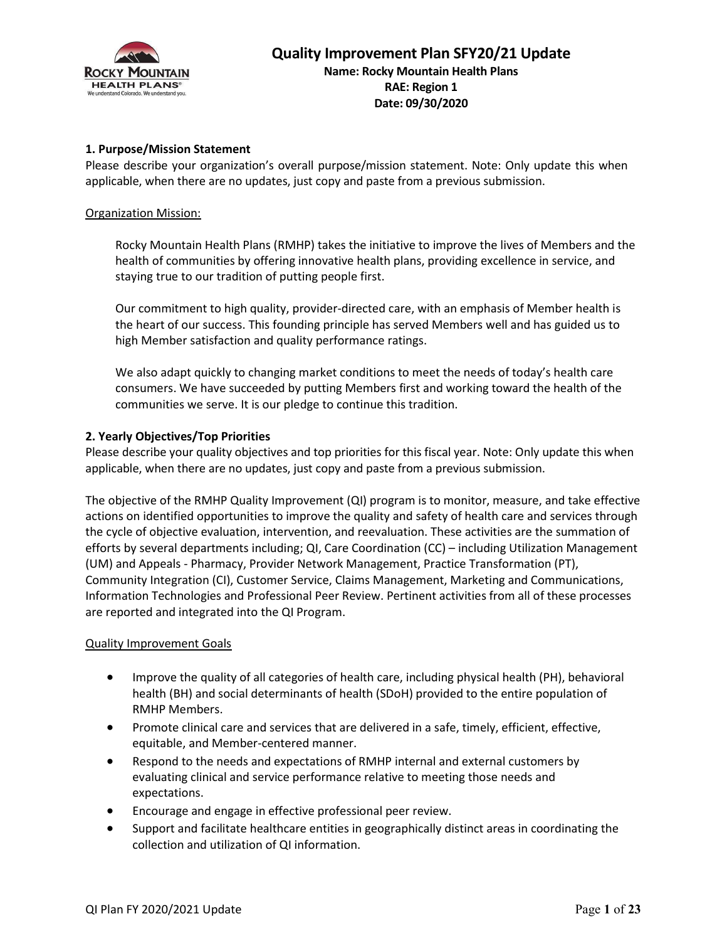

Date: 09/30/2020

#### 1. Purpose/Mission Statement

Please describe your organization's overall purpose/mission statement. Note: Only update this when applicable, when there are no updates, just copy and paste from a previous submission.

#### Organization Mission:

Rocky Mountain Health Plans (RMHP) takes the initiative to improve the lives of Members and the health of communities by offering innovative health plans, providing excellence in service, and staying true to our tradition of putting people first.

Our commitment to high quality, provider-directed care, with an emphasis of Member health is the heart of our success. This founding principle has served Members well and has guided us to high Member satisfaction and quality performance ratings.

We also adapt quickly to changing market conditions to meet the needs of today's health care consumers. We have succeeded by putting Members first and working toward the health of the communities we serve. It is our pledge to continue this tradition.

#### 2. Yearly Objectives/Top Priorities

Please describe your quality objectives and top priorities for this fiscal year. Note: Only update this when applicable, when there are no updates, just copy and paste from a previous submission.

The objective of the RMHP Quality Improvement (QI) program is to monitor, measure, and take effective actions on identified opportunities to improve the quality and safety of health care and services through the cycle of objective evaluation, intervention, and reevaluation. These activities are the summation of efforts by several departments including; QI, Care Coordination (CC) – including Utilization Management (UM) and Appeals - Pharmacy, Provider Network Management, Practice Transformation (PT), Community Integration (CI), Customer Service, Claims Management, Marketing and Communications, Information Technologies and Professional Peer Review. Pertinent activities from all of these processes are reported and integrated into the QI Program.

#### Quality Improvement Goals

- Improve the quality of all categories of health care, including physical health (PH), behavioral health (BH) and social determinants of health (SDoH) provided to the entire population of RMHP Members.
- Promote clinical care and services that are delivered in a safe, timely, efficient, effective, equitable, and Member-centered manner.
- Respond to the needs and expectations of RMHP internal and external customers by evaluating clinical and service performance relative to meeting those needs and expectations.
- Encourage and engage in effective professional peer review.
- Support and facilitate healthcare entities in geographically distinct areas in coordinating the collection and utilization of QI information.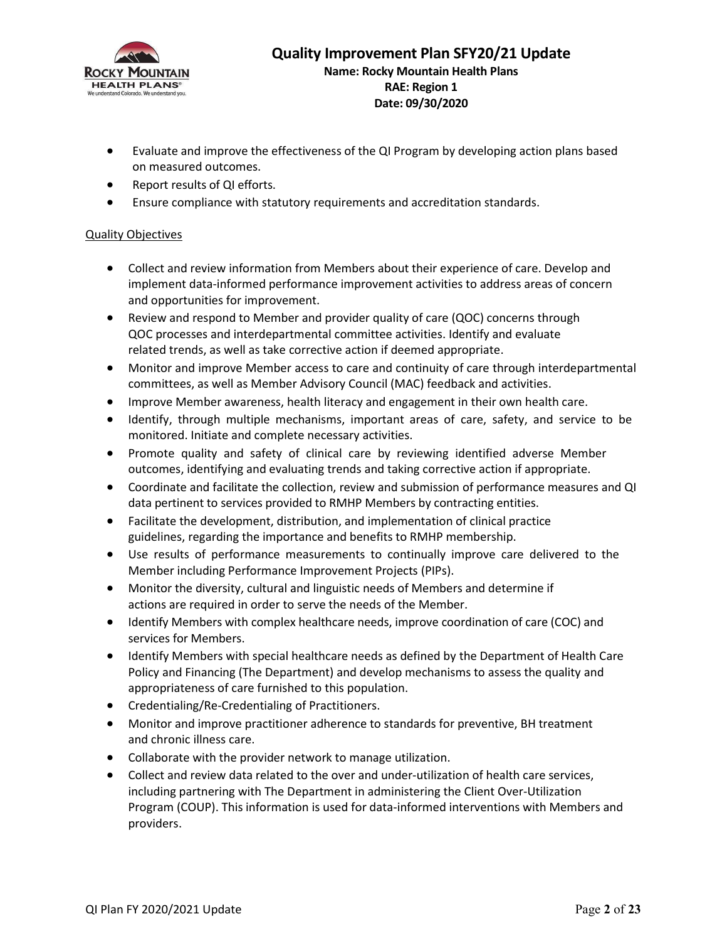

- Evaluate and improve the effectiveness of the QI Program by developing action plans based on measured outcomes.
- Report results of QI efforts.
- Ensure compliance with statutory requirements and accreditation standards.

#### Quality Objectives

- Collect and review information from Members about their experience of care. Develop and implement data-informed performance improvement activities to address areas of concern and opportunities for improvement.
- Review and respond to Member and provider quality of care (QOC) concerns through QOC processes and interdepartmental committee activities. Identify and evaluate related trends, as well as take corrective action if deemed appropriate.
- Monitor and improve Member access to care and continuity of care through interdepartmental committees, as well as Member Advisory Council (MAC) feedback and activities.
- **IMPROVE Member awareness, health literacy and engagement in their own health care.**
- Identify, through multiple mechanisms, important areas of care, safety, and service to be monitored. Initiate and complete necessary activities.
- Promote quality and safety of clinical care by reviewing identified adverse Member outcomes, identifying and evaluating trends and taking corrective action if appropriate.
- Coordinate and facilitate the collection, review and submission of performance measures and QI data pertinent to services provided to RMHP Members by contracting entities.
- Facilitate the development, distribution, and implementation of clinical practice guidelines, regarding the importance and benefits to RMHP membership.
- Use results of performance measurements to continually improve care delivered to the Member including Performance Improvement Projects (PIPs).
- Monitor the diversity, cultural and linguistic needs of Members and determine if actions are required in order to serve the needs of the Member.
- Identify Members with complex healthcare needs, improve coordination of care (COC) and services for Members.
- Identify Members with special healthcare needs as defined by the Department of Health Care Policy and Financing (The Department) and develop mechanisms to assess the quality and appropriateness of care furnished to this population.
- Credentialing/Re-Credentialing of Practitioners.
- Monitor and improve practitioner adherence to standards for preventive, BH treatment and chronic illness care.
- Collaborate with the provider network to manage utilization.
- Collect and review data related to the over and under-utilization of health care services, including partnering with The Department in administering the Client Over-Utilization Program (COUP). This information is used for data-informed interventions with Members and providers.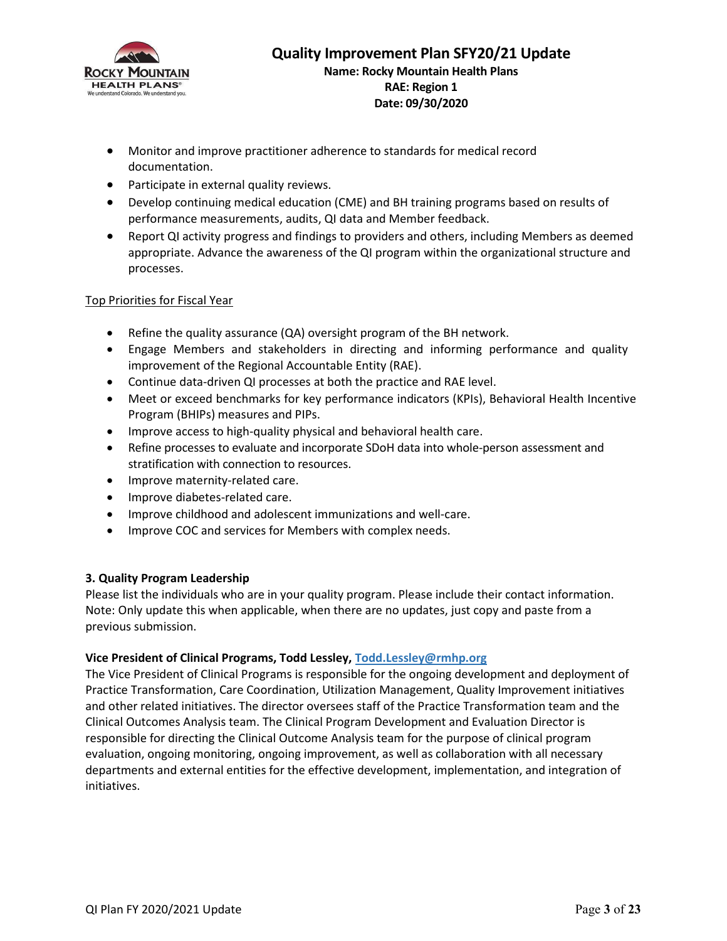

- Monitor and improve practitioner adherence to standards for medical record documentation.
- Participate in external quality reviews.
- Develop continuing medical education (CME) and BH training programs based on results of performance measurements, audits, QI data and Member feedback.
- Report QI activity progress and findings to providers and others, including Members as deemed appropriate. Advance the awareness of the QI program within the organizational structure and processes.

### Top Priorities for Fiscal Year

- Refine the quality assurance (QA) oversight program of the BH network.
- Engage Members and stakeholders in directing and informing performance and quality improvement of the Regional Accountable Entity (RAE).
- Continue data-driven QI processes at both the practice and RAE level.
- Meet or exceed benchmarks for key performance indicators (KPIs), Behavioral Health Incentive Program (BHIPs) measures and PIPs.
- Improve access to high-quality physical and behavioral health care.
- Refine processes to evaluate and incorporate SDoH data into whole-person assessment and stratification with connection to resources.
- Improve maternity-related care.
- Improve diabetes-related care.
- Improve childhood and adolescent immunizations and well-care.
- Improve COC and services for Members with complex needs.

### 3. Quality Program Leadership

Please list the individuals who are in your quality program. Please include their contact information. Note: Only update this when applicable, when there are no updates, just copy and paste from a previous submission.

### Vice President of Clinical Programs, Todd Lessley, Todd.Lessley@rmhp.org

The Vice President of Clinical Programs is responsible for the ongoing development and deployment of Practice Transformation, Care Coordination, Utilization Management, Quality Improvement initiatives and other related initiatives. The director oversees staff of the Practice Transformation team and the Clinical Outcomes Analysis team. The Clinical Program Development and Evaluation Director is responsible for directing the Clinical Outcome Analysis team for the purpose of clinical program evaluation, ongoing monitoring, ongoing improvement, as well as collaboration with all necessary departments and external entities for the effective development, implementation, and integration of initiatives.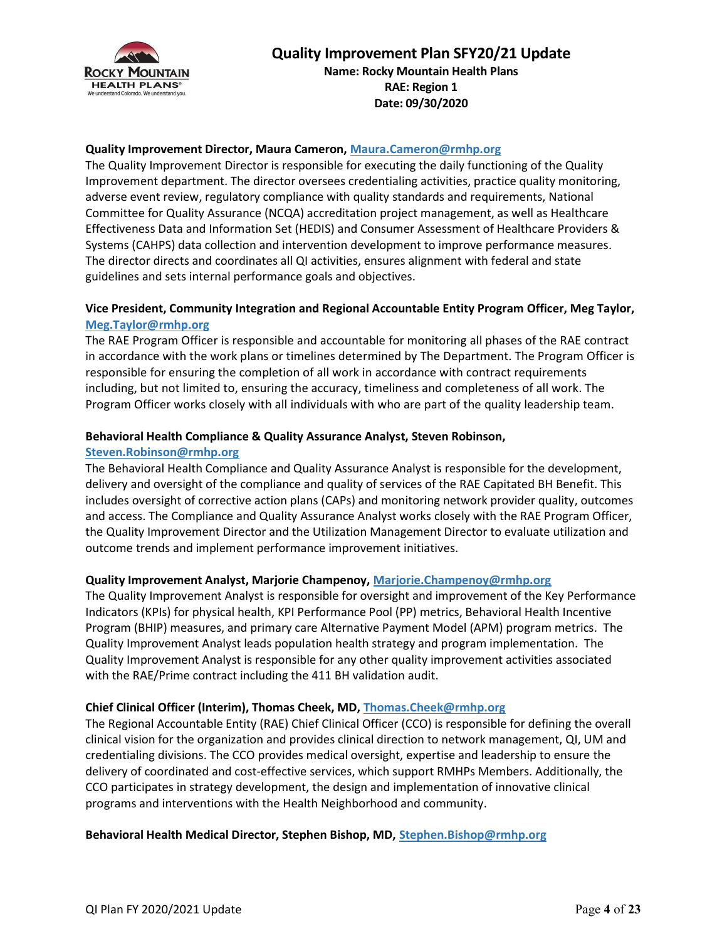

### Quality Improvement Director, Maura Cameron, Maura.Cameron@rmhp.org

The Quality Improvement Director is responsible for executing the daily functioning of the Quality Improvement department. The director oversees credentialing activities, practice quality monitoring, adverse event review, regulatory compliance with quality standards and requirements, National Committee for Quality Assurance (NCQA) accreditation project management, as well as Healthcare Effectiveness Data and Information Set (HEDIS) and Consumer Assessment of Healthcare Providers & Systems (CAHPS) data collection and intervention development to improve performance measures. The director directs and coordinates all QI activities, ensures alignment with federal and state guidelines and sets internal performance goals and objectives.

### Vice President, Community Integration and Regional Accountable Entity Program Officer, Meg Taylor, Meg.Taylor@rmhp.org

The RAE Program Officer is responsible and accountable for monitoring all phases of the RAE contract in accordance with the work plans or timelines determined by The Department. The Program Officer is responsible for ensuring the completion of all work in accordance with contract requirements including, but not limited to, ensuring the accuracy, timeliness and completeness of all work. The Program Officer works closely with all individuals with who are part of the quality leadership team.

#### Behavioral Health Compliance & Quality Assurance Analyst, Steven Robinson,

#### Steven.Robinson@rmhp.org

The Behavioral Health Compliance and Quality Assurance Analyst is responsible for the development, delivery and oversight of the compliance and quality of services of the RAE Capitated BH Benefit. This includes oversight of corrective action plans (CAPs) and monitoring network provider quality, outcomes and access. The Compliance and Quality Assurance Analyst works closely with the RAE Program Officer, the Quality Improvement Director and the Utilization Management Director to evaluate utilization and outcome trends and implement performance improvement initiatives.

#### Quality Improvement Analyst, Marjorie Champenoy, Marjorie.Champenoy@rmhp.org

The Quality Improvement Analyst is responsible for oversight and improvement of the Key Performance Indicators (KPIs) for physical health, KPI Performance Pool (PP) metrics, Behavioral Health Incentive Program (BHIP) measures, and primary care Alternative Payment Model (APM) program metrics. The Quality Improvement Analyst leads population health strategy and program implementation. The Quality Improvement Analyst is responsible for any other quality improvement activities associated with the RAE/Prime contract including the 411 BH validation audit.

### Chief Clinical Officer (Interim), Thomas Cheek, MD, Thomas.Cheek@rmhp.org

The Regional Accountable Entity (RAE) Chief Clinical Officer (CCO) is responsible for defining the overall clinical vision for the organization and provides clinical direction to network management, QI, UM and credentialing divisions. The CCO provides medical oversight, expertise and leadership to ensure the delivery of coordinated and cost-effective services, which support RMHPs Members. Additionally, the CCO participates in strategy development, the design and implementation of innovative clinical programs and interventions with the Health Neighborhood and community.

#### Behavioral Health Medical Director, Stephen Bishop, MD, Stephen.Bishop@rmhp.org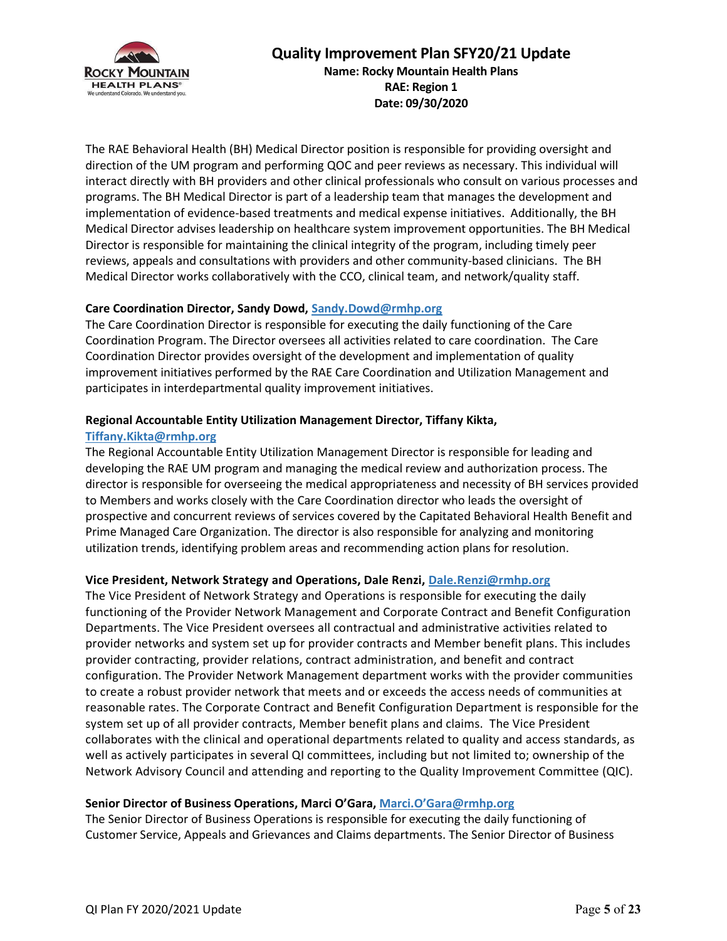

RAE: Region 1 Date: 09/30/2020

The RAE Behavioral Health (BH) Medical Director position is responsible for providing oversight and direction of the UM program and performing QOC and peer reviews as necessary. This individual will interact directly with BH providers and other clinical professionals who consult on various processes and programs. The BH Medical Director is part of a leadership team that manages the development and implementation of evidence-based treatments and medical expense initiatives. Additionally, the BH Medical Director advises leadership on healthcare system improvement opportunities. The BH Medical Director is responsible for maintaining the clinical integrity of the program, including timely peer reviews, appeals and consultations with providers and other community-based clinicians. The BH Medical Director works collaboratively with the CCO, clinical team, and network/quality staff.

### Care Coordination Director, Sandy Dowd, Sandy.Dowd@rmhp.org

The Care Coordination Director is responsible for executing the daily functioning of the Care Coordination Program. The Director oversees all activities related to care coordination. The Care Coordination Director provides oversight of the development and implementation of quality improvement initiatives performed by the RAE Care Coordination and Utilization Management and participates in interdepartmental quality improvement initiatives.

### Regional Accountable Entity Utilization Management Director, Tiffany Kikta,

### Tiffany.Kikta@rmhp.org

The Regional Accountable Entity Utilization Management Director is responsible for leading and developing the RAE UM program and managing the medical review and authorization process. The director is responsible for overseeing the medical appropriateness and necessity of BH services provided to Members and works closely with the Care Coordination director who leads the oversight of prospective and concurrent reviews of services covered by the Capitated Behavioral Health Benefit and Prime Managed Care Organization. The director is also responsible for analyzing and monitoring utilization trends, identifying problem areas and recommending action plans for resolution.

### Vice President, Network Strategy and Operations, Dale Renzi, Dale.Renzi@rmhp.org

The Vice President of Network Strategy and Operations is responsible for executing the daily functioning of the Provider Network Management and Corporate Contract and Benefit Configuration Departments. The Vice President oversees all contractual and administrative activities related to provider networks and system set up for provider contracts and Member benefit plans. This includes provider contracting, provider relations, contract administration, and benefit and contract configuration. The Provider Network Management department works with the provider communities to create a robust provider network that meets and or exceeds the access needs of communities at reasonable rates. The Corporate Contract and Benefit Configuration Department is responsible for the system set up of all provider contracts, Member benefit plans and claims. The Vice President collaborates with the clinical and operational departments related to quality and access standards, as well as actively participates in several QI committees, including but not limited to; ownership of the Network Advisory Council and attending and reporting to the Quality Improvement Committee (QIC).

### Senior Director of Business Operations, Marci O'Gara, Marci.O'Gara@rmhp.org

The Senior Director of Business Operations is responsible for executing the daily functioning of Customer Service, Appeals and Grievances and Claims departments. The Senior Director of Business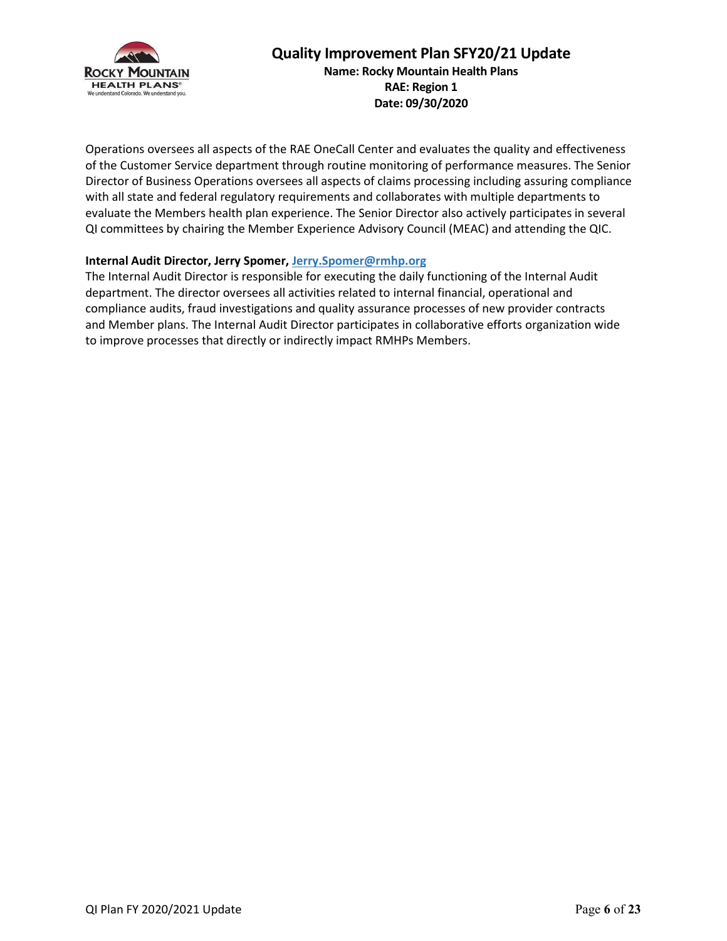

Name: Rocky Mountain Health Plans RAE: Region 1 Date: 09/30/2020

Operations oversees all aspects of the RAE OneCall Center and evaluates the quality and effectiveness of the Customer Service department through routine monitoring of performance measures. The Senior Director of Business Operations oversees all aspects of claims processing including assuring compliance with all state and federal regulatory requirements and collaborates with multiple departments to evaluate the Members health plan experience. The Senior Director also actively participates in several QI committees by chairing the Member Experience Advisory Council (MEAC) and attending the QIC.

### Internal Audit Director, Jerry Spomer, Jerry.Spomer@rmhp.org

The Internal Audit Director is responsible for executing the daily functioning of the Internal Audit department. The director oversees all activities related to internal financial, operational and compliance audits, fraud investigations and quality assurance processes of new provider contracts and Member plans. The Internal Audit Director participates in collaborative efforts organization wide to improve processes that directly or indirectly impact RMHPs Members.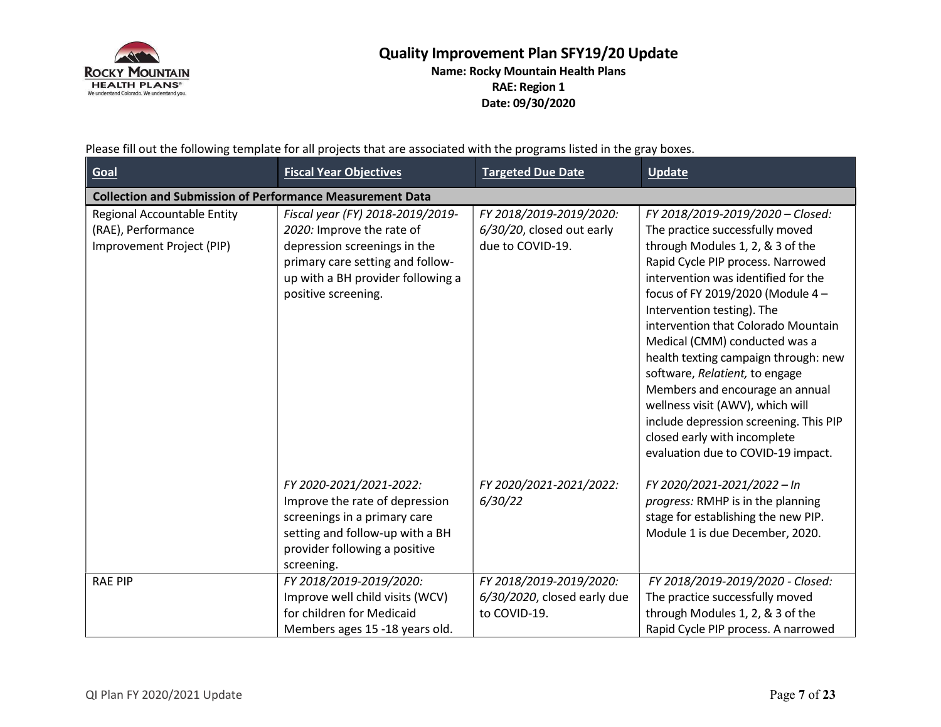

Name: Rocky Mountain Health Plans RAE: Region 1 Date: 09/30/2020

Please fill out the following template for all projects that are associated with the programs listed in the gray boxes.

| Goal                                                                           | <b>Fiscal Year Objectives</b>                                                                                                                                                                 | <b>Targeted Due Date</b>                                                 | Update                                                                                                                                                                                                                                                                                                                                                                                                                                                                                                                                                                                          |
|--------------------------------------------------------------------------------|-----------------------------------------------------------------------------------------------------------------------------------------------------------------------------------------------|--------------------------------------------------------------------------|-------------------------------------------------------------------------------------------------------------------------------------------------------------------------------------------------------------------------------------------------------------------------------------------------------------------------------------------------------------------------------------------------------------------------------------------------------------------------------------------------------------------------------------------------------------------------------------------------|
| <b>Collection and Submission of Performance Measurement Data</b>               |                                                                                                                                                                                               |                                                                          |                                                                                                                                                                                                                                                                                                                                                                                                                                                                                                                                                                                                 |
| Regional Accountable Entity<br>(RAE), Performance<br>Improvement Project (PIP) | Fiscal year (FY) 2018-2019/2019-<br>2020: Improve the rate of<br>depression screenings in the<br>primary care setting and follow-<br>up with a BH provider following a<br>positive screening. | FY 2018/2019-2019/2020:<br>6/30/20, closed out early<br>due to COVID-19. | FY 2018/2019-2019/2020 - Closed:<br>The practice successfully moved<br>through Modules 1, 2, & 3 of the<br>Rapid Cycle PIP process. Narrowed<br>intervention was identified for the<br>focus of FY 2019/2020 (Module 4 -<br>Intervention testing). The<br>intervention that Colorado Mountain<br>Medical (CMM) conducted was a<br>health texting campaign through: new<br>software, Relatient, to engage<br>Members and encourage an annual<br>wellness visit (AWV), which will<br>include depression screening. This PIP<br>closed early with incomplete<br>evaluation due to COVID-19 impact. |
|                                                                                | FY 2020-2021/2021-2022:<br>Improve the rate of depression<br>screenings in a primary care<br>setting and follow-up with a BH<br>provider following a positive<br>screening.                   | FY 2020/2021-2021/2022:<br>6/30/22                                       | FY 2020/2021-2021/2022 - In<br>progress: RMHP is in the planning<br>stage for establishing the new PIP.<br>Module 1 is due December, 2020.                                                                                                                                                                                                                                                                                                                                                                                                                                                      |
| <b>RAE PIP</b>                                                                 | FY 2018/2019-2019/2020:<br>Improve well child visits (WCV)<br>for children for Medicaid<br>Members ages 15 -18 years old.                                                                     | FY 2018/2019-2019/2020:<br>6/30/2020, closed early due<br>to COVID-19.   | FY 2018/2019-2019/2020 - Closed:<br>The practice successfully moved<br>through Modules 1, 2, & 3 of the<br>Rapid Cycle PIP process. A narrowed                                                                                                                                                                                                                                                                                                                                                                                                                                                  |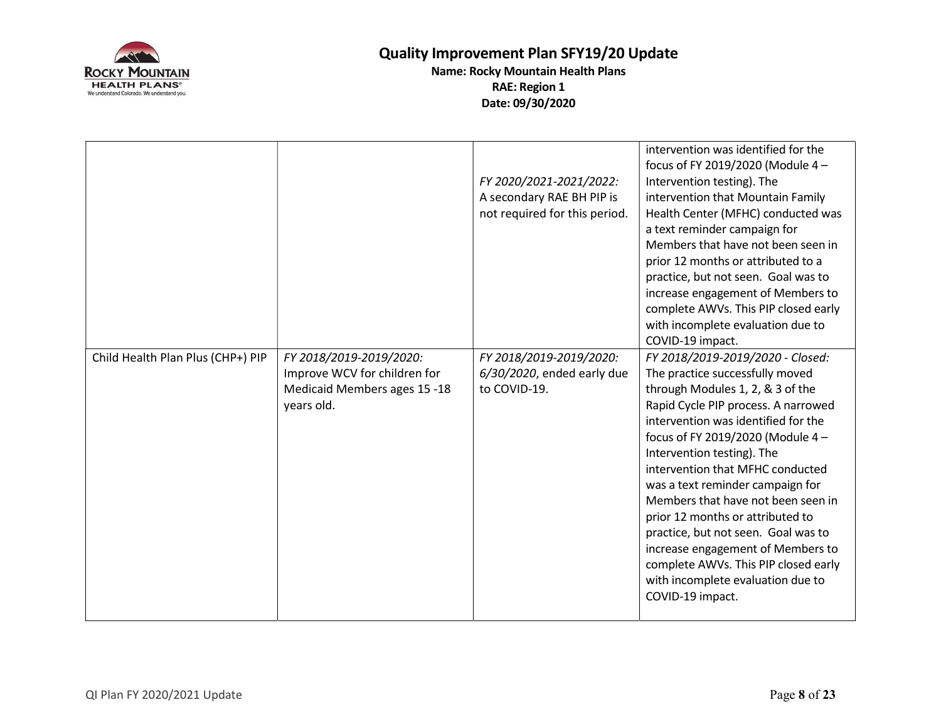

|                                   |                                                                                                       | FY 2020/2021-2021/2022:<br>A secondary RAE BH PIP is<br>not required for this period. | intervention was identified for the<br>focus of FY 2019/2020 (Module 4-<br>Intervention testing). The<br>intervention that Mountain Family<br>Health Center (MFHC) conducted was<br>a text reminder campaign for<br>Members that have not been seen in<br>prior 12 months or attributed to a<br>practice, but not seen. Goal was to<br>increase engagement of Members to<br>complete AWVs. This PIP closed early<br>with incomplete evaluation due to<br>COVID-19 impact.                                                                                                              |
|-----------------------------------|-------------------------------------------------------------------------------------------------------|---------------------------------------------------------------------------------------|----------------------------------------------------------------------------------------------------------------------------------------------------------------------------------------------------------------------------------------------------------------------------------------------------------------------------------------------------------------------------------------------------------------------------------------------------------------------------------------------------------------------------------------------------------------------------------------|
| Child Health Plan Plus (CHP+) PIP | FY 2018/2019-2019/2020:<br>Improve WCV for children for<br>Medicaid Members ages 15 -18<br>years old. | FY 2018/2019-2019/2020:<br>6/30/2020, ended early due<br>to COVID-19.                 | FY 2018/2019-2019/2020 - Closed:<br>The practice successfully moved<br>through Modules 1, 2, & 3 of the<br>Rapid Cycle PIP process. A narrowed<br>intervention was identified for the<br>focus of FY 2019/2020 (Module 4-<br>Intervention testing). The<br>intervention that MFHC conducted<br>was a text reminder campaign for<br>Members that have not been seen in<br>prior 12 months or attributed to<br>practice, but not seen. Goal was to<br>increase engagement of Members to<br>complete AWVs. This PIP closed early<br>with incomplete evaluation due to<br>COVID-19 impact. |
|                                   |                                                                                                       |                                                                                       |                                                                                                                                                                                                                                                                                                                                                                                                                                                                                                                                                                                        |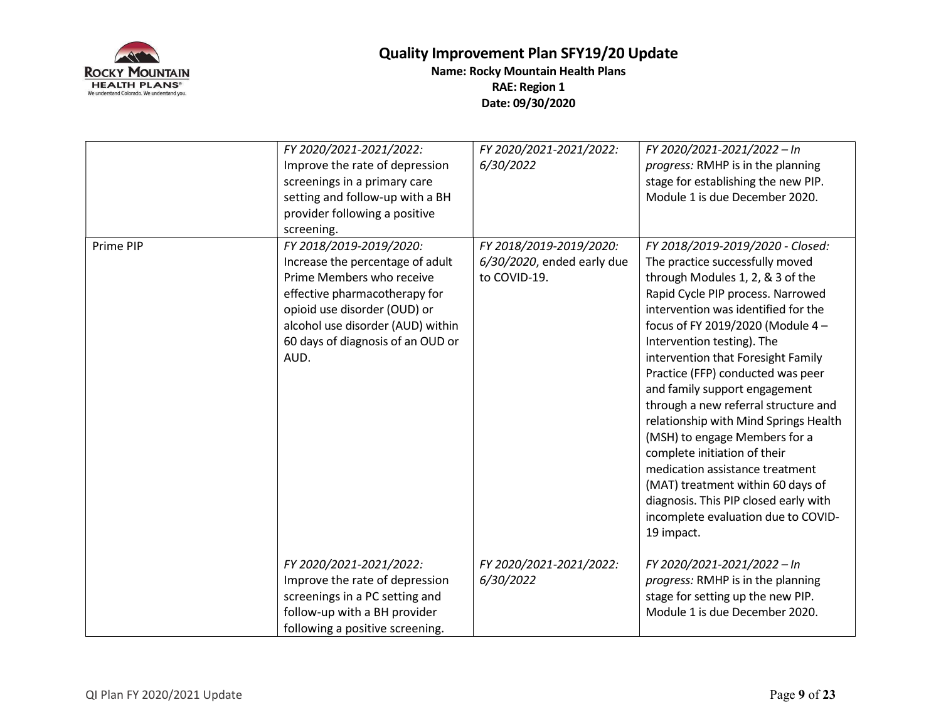

|           | FY 2020/2021-2021/2022:           | FY 2020/2021-2021/2022:    | FY 2020/2021-2021/2022 - In           |
|-----------|-----------------------------------|----------------------------|---------------------------------------|
|           | Improve the rate of depression    | 6/30/2022                  | progress: RMHP is in the planning     |
|           | screenings in a primary care      |                            | stage for establishing the new PIP.   |
|           | setting and follow-up with a BH   |                            | Module 1 is due December 2020.        |
|           | provider following a positive     |                            |                                       |
|           | screening.                        |                            |                                       |
| Prime PIP | FY 2018/2019-2019/2020:           | FY 2018/2019-2019/2020:    | FY 2018/2019-2019/2020 - Closed:      |
|           | Increase the percentage of adult  | 6/30/2020, ended early due | The practice successfully moved       |
|           | Prime Members who receive         | to COVID-19.               | through Modules 1, 2, & 3 of the      |
|           | effective pharmacotherapy for     |                            | Rapid Cycle PIP process. Narrowed     |
|           | opioid use disorder (OUD) or      |                            | intervention was identified for the   |
|           | alcohol use disorder (AUD) within |                            | focus of FY 2019/2020 (Module 4-      |
|           | 60 days of diagnosis of an OUD or |                            | Intervention testing). The            |
|           | AUD.                              |                            | intervention that Foresight Family    |
|           |                                   |                            | Practice (FFP) conducted was peer     |
|           |                                   |                            | and family support engagement         |
|           |                                   |                            | through a new referral structure and  |
|           |                                   |                            | relationship with Mind Springs Health |
|           |                                   |                            | (MSH) to engage Members for a         |
|           |                                   |                            | complete initiation of their          |
|           |                                   |                            | medication assistance treatment       |
|           |                                   |                            | (MAT) treatment within 60 days of     |
|           |                                   |                            | diagnosis. This PIP closed early with |
|           |                                   |                            | incomplete evaluation due to COVID-   |
|           |                                   |                            | 19 impact.                            |
|           |                                   |                            |                                       |
|           | FY 2020/2021-2021/2022:           | FY 2020/2021-2021/2022:    | FY 2020/2021-2021/2022 - In           |
|           | Improve the rate of depression    | 6/30/2022                  | progress: RMHP is in the planning     |
|           | screenings in a PC setting and    |                            | stage for setting up the new PIP.     |
|           | follow-up with a BH provider      |                            | Module 1 is due December 2020.        |
|           | following a positive screening.   |                            |                                       |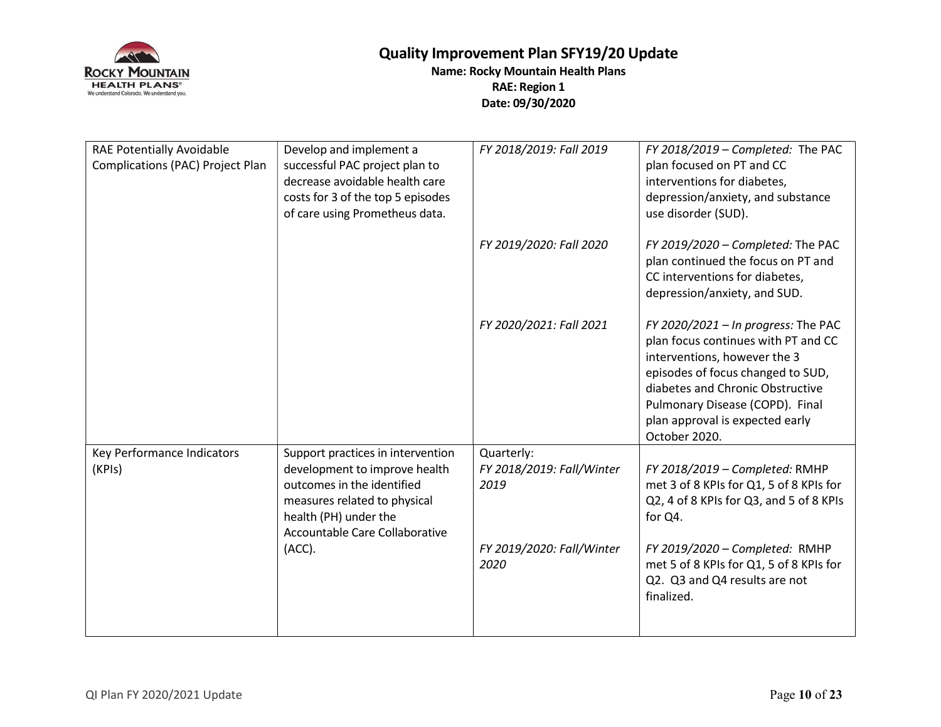

| successful PAC project plan to<br>decrease avoidable health care<br>costs for 3 of the top 5 episodes<br>of care using Prometheus data. |                                                 | FY 2018/2019 - Completed: The PAC<br>plan focused on PT and CC<br>interventions for diabetes,<br>depression/anxiety, and substance<br>use disorder (SUD).                                                                                                                  |
|-----------------------------------------------------------------------------------------------------------------------------------------|-------------------------------------------------|----------------------------------------------------------------------------------------------------------------------------------------------------------------------------------------------------------------------------------------------------------------------------|
|                                                                                                                                         | FY 2019/2020: Fall 2020                         | FY 2019/2020 - Completed: The PAC<br>plan continued the focus on PT and<br>CC interventions for diabetes,<br>depression/anxiety, and SUD.                                                                                                                                  |
|                                                                                                                                         | FY 2020/2021: Fall 2021                         | FY 2020/2021 - In progress: The PAC<br>plan focus continues with PT and CC<br>interventions, however the 3<br>episodes of focus changed to SUD,<br>diabetes and Chronic Obstructive<br>Pulmonary Disease (COPD). Final<br>plan approval is expected early<br>October 2020. |
| Support practices in intervention<br>development to improve health<br>outcomes in the identified<br>measures related to physical        | Quarterly:<br>FY 2018/2019: Fall/Winter<br>2019 | FY 2018/2019 - Completed: RMHP<br>met 3 of 8 KPIs for Q1, 5 of 8 KPIs for<br>Q2, 4 of 8 KPIs for Q3, and 5 of 8 KPIs                                                                                                                                                       |
| health (PH) under the<br>Accountable Care Collaborative<br>(ACC).                                                                       | FY 2019/2020: Fall/Winter<br>2020               | for Q4.<br>FY 2019/2020 - Completed: RMHP<br>met 5 of 8 KPIs for Q1, 5 of 8 KPIs for<br>Q2. Q3 and Q4 results are not<br>finalized.                                                                                                                                        |
|                                                                                                                                         |                                                 |                                                                                                                                                                                                                                                                            |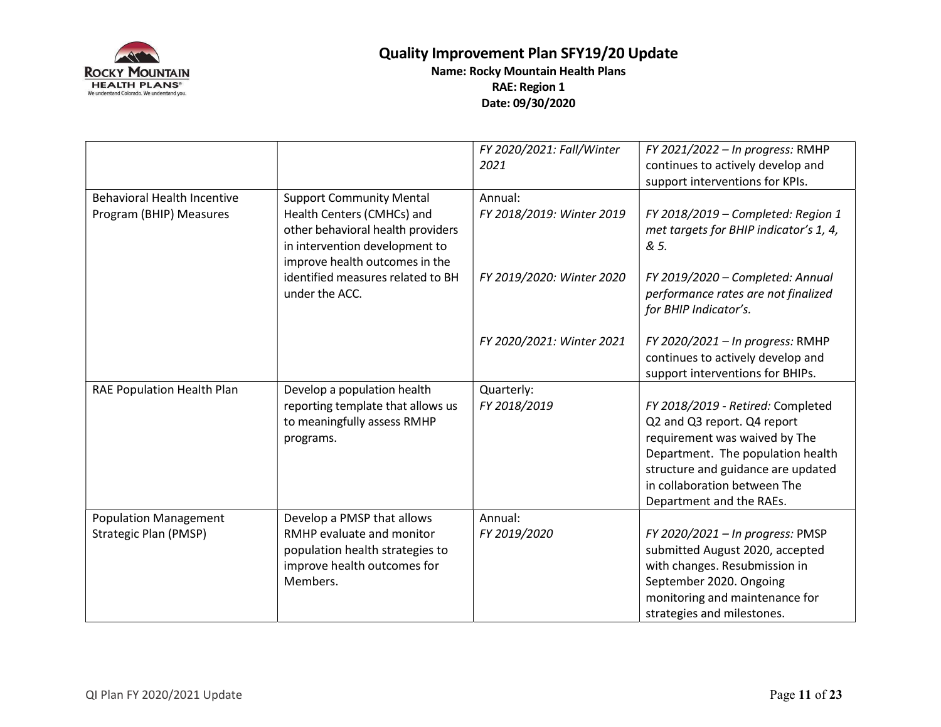

|                                    |                                                                                                                                     | FY 2020/2021: Fall/Winter<br>2021 | FY 2021/2022 - In progress: RMHP<br>continues to actively develop and<br>support interventions for KPIs.                                                                                                                                 |
|------------------------------------|-------------------------------------------------------------------------------------------------------------------------------------|-----------------------------------|------------------------------------------------------------------------------------------------------------------------------------------------------------------------------------------------------------------------------------------|
| <b>Behavioral Health Incentive</b> | <b>Support Community Mental</b>                                                                                                     | Annual:                           |                                                                                                                                                                                                                                          |
| Program (BHIP) Measures            | Health Centers (CMHCs) and<br>other behavioral health providers<br>in intervention development to<br>improve health outcomes in the | FY 2018/2019: Winter 2019         | FY 2018/2019 - Completed: Region 1<br>met targets for BHIP indicator's 1, 4,<br>& 5.                                                                                                                                                     |
|                                    | identified measures related to BH<br>under the ACC.                                                                                 | FY 2019/2020: Winter 2020         | FY 2019/2020 - Completed: Annual<br>performance rates are not finalized<br>for BHIP Indicator's.                                                                                                                                         |
|                                    |                                                                                                                                     | FY 2020/2021: Winter 2021         | FY 2020/2021 - In progress: RMHP<br>continues to actively develop and<br>support interventions for BHIPs.                                                                                                                                |
| RAE Population Health Plan         | Develop a population health                                                                                                         | Quarterly:                        |                                                                                                                                                                                                                                          |
|                                    | reporting template that allows us<br>to meaningfully assess RMHP<br>programs.                                                       | FY 2018/2019                      | FY 2018/2019 - Retired: Completed<br>Q2 and Q3 report. Q4 report<br>requirement was waived by The<br>Department. The population health<br>structure and guidance are updated<br>in collaboration between The<br>Department and the RAEs. |
| <b>Population Management</b>       | Develop a PMSP that allows                                                                                                          | Annual:                           |                                                                                                                                                                                                                                          |
| Strategic Plan (PMSP)              | RMHP evaluate and monitor<br>population health strategies to<br>improve health outcomes for<br>Members.                             | FY 2019/2020                      | FY 2020/2021 - In progress: PMSP<br>submitted August 2020, accepted<br>with changes. Resubmission in<br>September 2020. Ongoing<br>monitoring and maintenance for<br>strategies and milestones.                                          |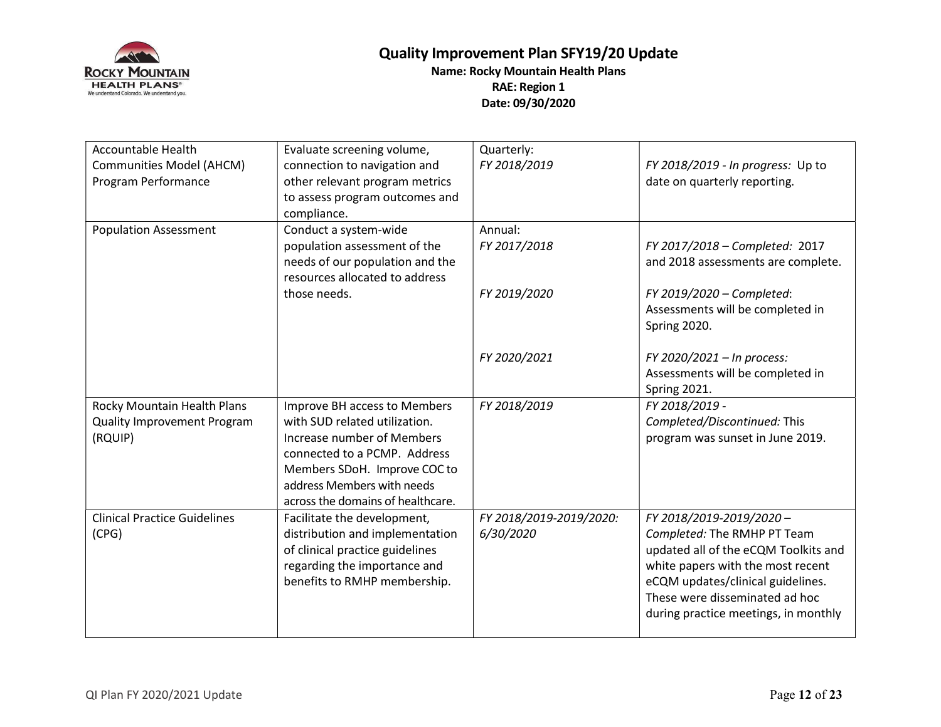

| <b>Accountable Health</b><br>Communities Model (AHCM)<br>Program Performance | Evaluate screening volume,<br>connection to navigation and<br>other relevant program metrics<br>to assess program outcomes and<br>compliance.                                                                                  | Quarterly:<br>FY 2018/2019           | FY 2018/2019 - In progress: Up to<br>date on quarterly reporting.                                                                                                                                                                                  |
|------------------------------------------------------------------------------|--------------------------------------------------------------------------------------------------------------------------------------------------------------------------------------------------------------------------------|--------------------------------------|----------------------------------------------------------------------------------------------------------------------------------------------------------------------------------------------------------------------------------------------------|
| <b>Population Assessment</b>                                                 | Conduct a system-wide<br>population assessment of the<br>needs of our population and the<br>resources allocated to address                                                                                                     | Annual:<br>FY 2017/2018              | FY 2017/2018 - Completed: 2017<br>and 2018 assessments are complete.                                                                                                                                                                               |
|                                                                              | those needs.                                                                                                                                                                                                                   | FY 2019/2020                         | FY 2019/2020 - Completed:<br>Assessments will be completed in<br>Spring 2020.                                                                                                                                                                      |
|                                                                              |                                                                                                                                                                                                                                | FY 2020/2021                         | FY 2020/2021 - In process:<br>Assessments will be completed in<br>Spring 2021.                                                                                                                                                                     |
| Rocky Mountain Health Plans<br>Quality Improvement Program<br>(RQUIP)        | Improve BH access to Members<br>with SUD related utilization.<br>Increase number of Members<br>connected to a PCMP. Address<br>Members SDoH. Improve COC to<br>address Members with needs<br>across the domains of healthcare. | FY 2018/2019                         | FY 2018/2019 -<br>Completed/Discontinued: This<br>program was sunset in June 2019.                                                                                                                                                                 |
| <b>Clinical Practice Guidelines</b><br>(CPG)                                 | Facilitate the development,<br>distribution and implementation<br>of clinical practice guidelines<br>regarding the importance and<br>benefits to RMHP membership.                                                              | FY 2018/2019-2019/2020:<br>6/30/2020 | FY 2018/2019-2019/2020-<br>Completed: The RMHP PT Team<br>updated all of the eCQM Toolkits and<br>white papers with the most recent<br>eCQM updates/clinical guidelines.<br>These were disseminated ad hoc<br>during practice meetings, in monthly |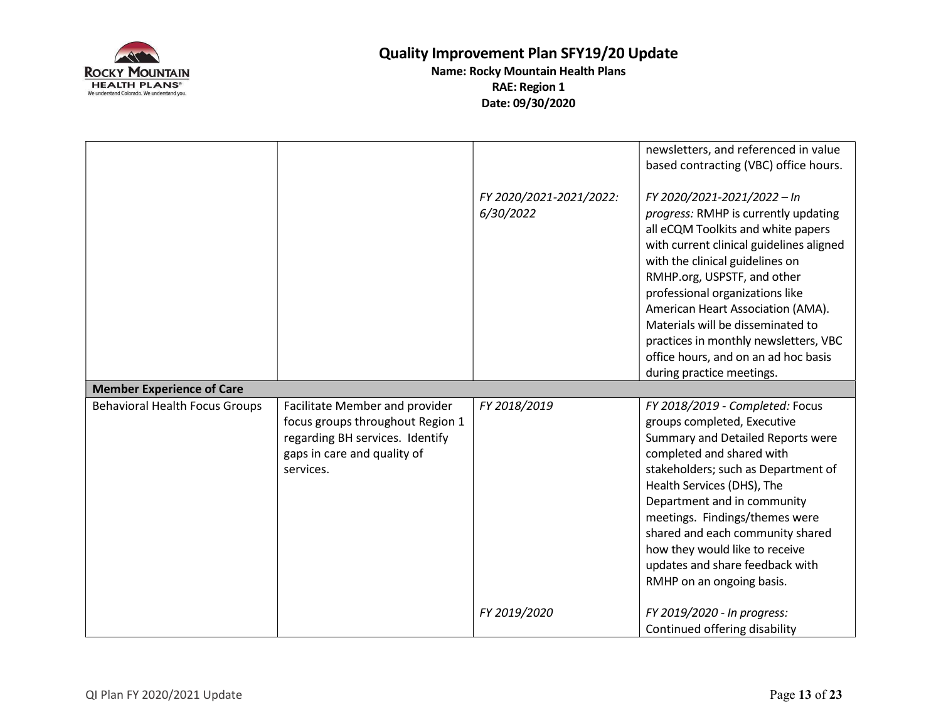

|                                       |                                                                                                                                                   |                                      | newsletters, and referenced in value<br>based contracting (VBC) office hours.                                                                                                                                                                                                                                                                                                                                                                      |
|---------------------------------------|---------------------------------------------------------------------------------------------------------------------------------------------------|--------------------------------------|----------------------------------------------------------------------------------------------------------------------------------------------------------------------------------------------------------------------------------------------------------------------------------------------------------------------------------------------------------------------------------------------------------------------------------------------------|
|                                       |                                                                                                                                                   | FY 2020/2021-2021/2022:<br>6/30/2022 | FY 2020/2021-2021/2022 - In<br>progress: RMHP is currently updating<br>all eCQM Toolkits and white papers<br>with current clinical guidelines aligned<br>with the clinical guidelines on<br>RMHP.org, USPSTF, and other<br>professional organizations like<br>American Heart Association (AMA).<br>Materials will be disseminated to<br>practices in monthly newsletters, VBC<br>office hours, and on an ad hoc basis<br>during practice meetings. |
| <b>Member Experience of Care</b>      |                                                                                                                                                   |                                      |                                                                                                                                                                                                                                                                                                                                                                                                                                                    |
| <b>Behavioral Health Focus Groups</b> | Facilitate Member and provider<br>focus groups throughout Region 1<br>regarding BH services. Identify<br>gaps in care and quality of<br>services. | FY 2018/2019                         | FY 2018/2019 - Completed: Focus<br>groups completed, Executive<br>Summary and Detailed Reports were<br>completed and shared with<br>stakeholders; such as Department of<br>Health Services (DHS), The<br>Department and in community<br>meetings. Findings/themes were<br>shared and each community shared<br>how they would like to receive<br>updates and share feedback with<br>RMHP on an ongoing basis.                                       |
|                                       |                                                                                                                                                   | FY 2019/2020                         | FY 2019/2020 - In progress:<br>Continued offering disability                                                                                                                                                                                                                                                                                                                                                                                       |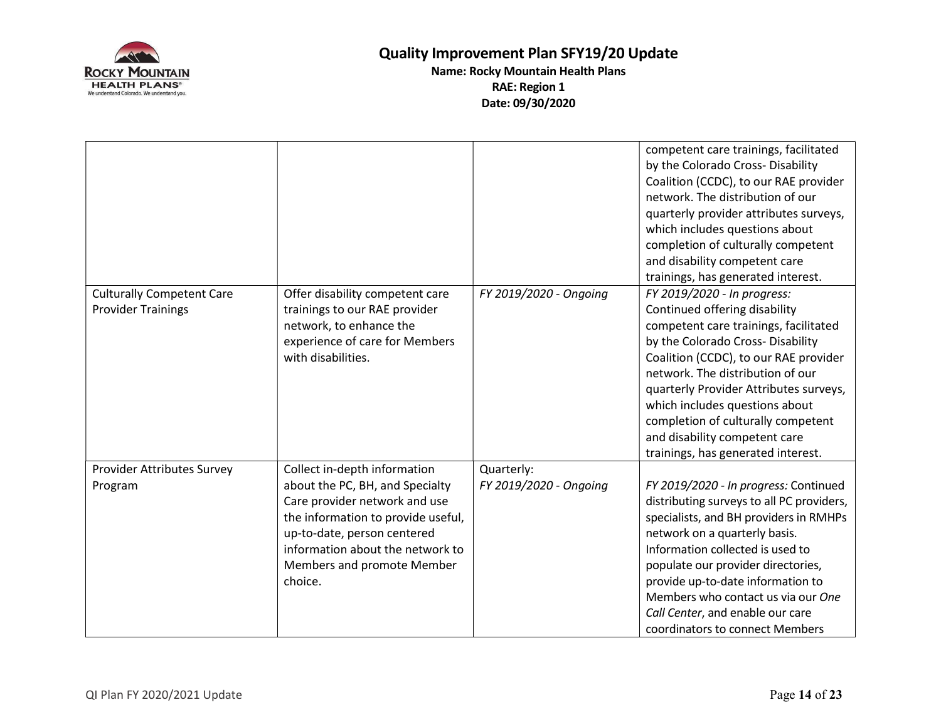

|                                  |                                    |                        | competent care trainings, facilitated<br>by the Colorado Cross- Disability<br>Coalition (CCDC), to our RAE provider<br>network. The distribution of our<br>quarterly provider attributes surveys,<br>which includes questions about<br>completion of culturally competent<br>and disability competent care<br>trainings, has generated interest. |
|----------------------------------|------------------------------------|------------------------|--------------------------------------------------------------------------------------------------------------------------------------------------------------------------------------------------------------------------------------------------------------------------------------------------------------------------------------------------|
| <b>Culturally Competent Care</b> | Offer disability competent care    | FY 2019/2020 - Ongoing | FY 2019/2020 - In progress:                                                                                                                                                                                                                                                                                                                      |
| <b>Provider Trainings</b>        | trainings to our RAE provider      |                        | Continued offering disability                                                                                                                                                                                                                                                                                                                    |
|                                  | network, to enhance the            |                        | competent care trainings, facilitated                                                                                                                                                                                                                                                                                                            |
|                                  | experience of care for Members     |                        | by the Colorado Cross- Disability                                                                                                                                                                                                                                                                                                                |
|                                  | with disabilities.                 |                        | Coalition (CCDC), to our RAE provider                                                                                                                                                                                                                                                                                                            |
|                                  |                                    |                        | network. The distribution of our                                                                                                                                                                                                                                                                                                                 |
|                                  |                                    |                        | quarterly Provider Attributes surveys,                                                                                                                                                                                                                                                                                                           |
|                                  |                                    |                        | which includes questions about                                                                                                                                                                                                                                                                                                                   |
|                                  |                                    |                        | completion of culturally competent<br>and disability competent care                                                                                                                                                                                                                                                                              |
|                                  |                                    |                        | trainings, has generated interest.                                                                                                                                                                                                                                                                                                               |
| Provider Attributes Survey       | Collect in-depth information       | Quarterly:             |                                                                                                                                                                                                                                                                                                                                                  |
| Program                          | about the PC, BH, and Specialty    | FY 2019/2020 - Ongoing | FY 2019/2020 - In progress: Continued                                                                                                                                                                                                                                                                                                            |
|                                  | Care provider network and use      |                        | distributing surveys to all PC providers,                                                                                                                                                                                                                                                                                                        |
|                                  | the information to provide useful, |                        | specialists, and BH providers in RMHPs                                                                                                                                                                                                                                                                                                           |
|                                  | up-to-date, person centered        |                        | network on a quarterly basis.                                                                                                                                                                                                                                                                                                                    |
|                                  | information about the network to   |                        | Information collected is used to                                                                                                                                                                                                                                                                                                                 |
|                                  | Members and promote Member         |                        | populate our provider directories,                                                                                                                                                                                                                                                                                                               |
|                                  | choice.                            |                        | provide up-to-date information to                                                                                                                                                                                                                                                                                                                |
|                                  |                                    |                        | Members who contact us via our One                                                                                                                                                                                                                                                                                                               |
|                                  |                                    |                        | Call Center, and enable our care                                                                                                                                                                                                                                                                                                                 |
|                                  |                                    |                        | coordinators to connect Members                                                                                                                                                                                                                                                                                                                  |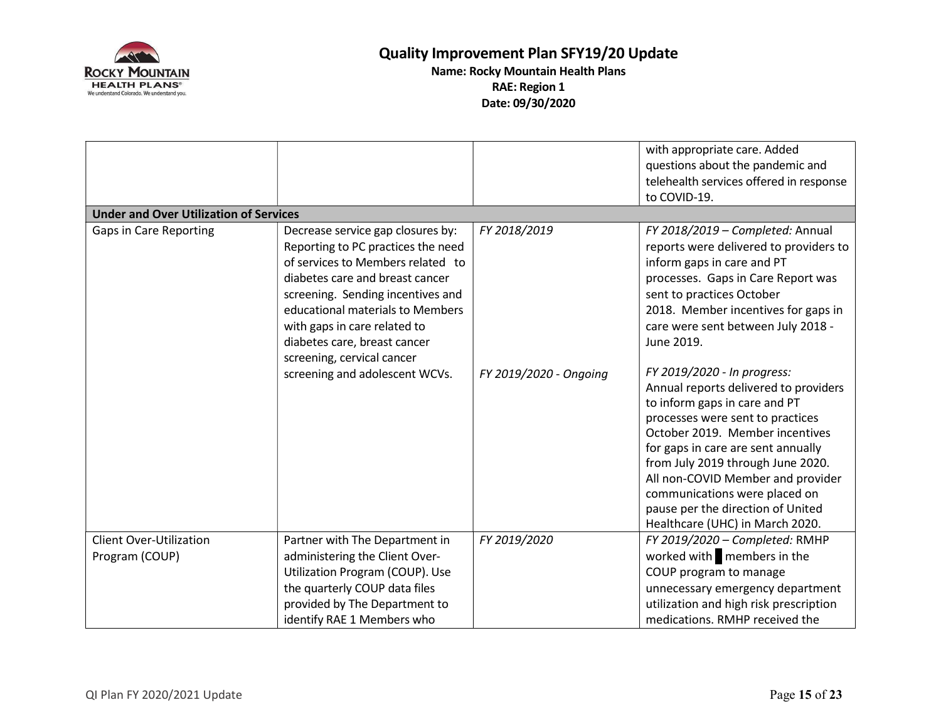

|                                                  |                                                                                                                                                                                                                                                                                          |                        | with appropriate care. Added<br>questions about the pandemic and<br>telehealth services offered in response<br>to COVID-19.                                                                                                                                                                                                                                                                           |
|--------------------------------------------------|------------------------------------------------------------------------------------------------------------------------------------------------------------------------------------------------------------------------------------------------------------------------------------------|------------------------|-------------------------------------------------------------------------------------------------------------------------------------------------------------------------------------------------------------------------------------------------------------------------------------------------------------------------------------------------------------------------------------------------------|
| <b>Under and Over Utilization of Services</b>    |                                                                                                                                                                                                                                                                                          |                        |                                                                                                                                                                                                                                                                                                                                                                                                       |
| Gaps in Care Reporting                           | Decrease service gap closures by:<br>Reporting to PC practices the need<br>of services to Members related to<br>diabetes care and breast cancer<br>screening. Sending incentives and<br>educational materials to Members<br>with gaps in care related to<br>diabetes care, breast cancer | FY 2018/2019           | FY 2018/2019 - Completed: Annual<br>reports were delivered to providers to<br>inform gaps in care and PT<br>processes. Gaps in Care Report was<br>sent to practices October<br>2018. Member incentives for gaps in<br>care were sent between July 2018 -<br>June 2019.                                                                                                                                |
|                                                  | screening, cervical cancer<br>screening and adolescent WCVs.                                                                                                                                                                                                                             | FY 2019/2020 - Ongoing | FY 2019/2020 - In progress:<br>Annual reports delivered to providers<br>to inform gaps in care and PT<br>processes were sent to practices<br>October 2019. Member incentives<br>for gaps in care are sent annually<br>from July 2019 through June 2020.<br>All non-COVID Member and provider<br>communications were placed on<br>pause per the direction of United<br>Healthcare (UHC) in March 2020. |
| <b>Client Over-Utilization</b><br>Program (COUP) | Partner with The Department in<br>administering the Client Over-<br>Utilization Program (COUP). Use<br>the quarterly COUP data files<br>provided by The Department to<br>identify RAE 1 Members who                                                                                      | FY 2019/2020           | FY 2019/2020 - Completed: RMHP<br>worked with members in the<br>COUP program to manage<br>unnecessary emergency department<br>utilization and high risk prescription<br>medications. RMHP received the                                                                                                                                                                                                |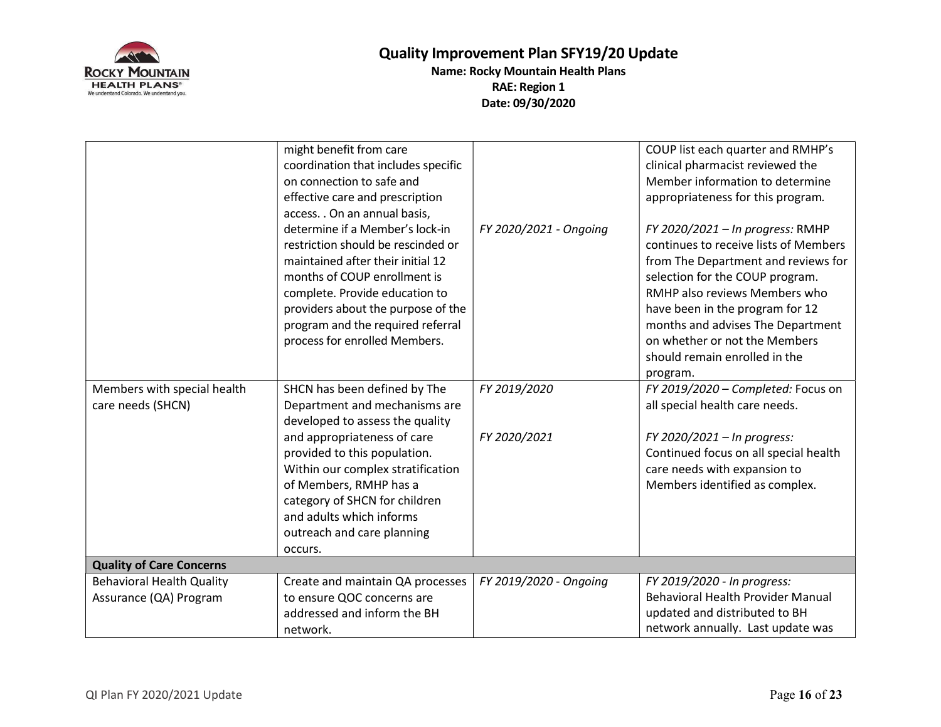

|                                  | might benefit from care             |                        | COUP list each quarter and RMHP's        |
|----------------------------------|-------------------------------------|------------------------|------------------------------------------|
|                                  | coordination that includes specific |                        | clinical pharmacist reviewed the         |
|                                  | on connection to safe and           |                        | Member information to determine          |
|                                  | effective care and prescription     |                        | appropriateness for this program.        |
|                                  | access. . On an annual basis,       |                        |                                          |
|                                  | determine if a Member's lock-in     | FY 2020/2021 - Ongoing | FY 2020/2021 - In progress: RMHP         |
|                                  | restriction should be rescinded or  |                        | continues to receive lists of Members    |
|                                  | maintained after their initial 12   |                        | from The Department and reviews for      |
|                                  | months of COUP enrollment is        |                        | selection for the COUP program.          |
|                                  | complete. Provide education to      |                        | RMHP also reviews Members who            |
|                                  | providers about the purpose of the  |                        | have been in the program for 12          |
|                                  | program and the required referral   |                        | months and advises The Department        |
|                                  | process for enrolled Members.       |                        | on whether or not the Members            |
|                                  |                                     |                        | should remain enrolled in the            |
|                                  |                                     |                        | program.                                 |
| Members with special health      | SHCN has been defined by The        | FY 2019/2020           | FY 2019/2020 - Completed: Focus on       |
| care needs (SHCN)                | Department and mechanisms are       |                        | all special health care needs.           |
|                                  | developed to assess the quality     |                        |                                          |
|                                  | and appropriateness of care         | FY 2020/2021           | FY 2020/2021 - In progress:              |
|                                  | provided to this population.        |                        | Continued focus on all special health    |
|                                  | Within our complex stratification   |                        | care needs with expansion to             |
|                                  | of Members, RMHP has a              |                        | Members identified as complex.           |
|                                  | category of SHCN for children       |                        |                                          |
|                                  | and adults which informs            |                        |                                          |
|                                  | outreach and care planning          |                        |                                          |
|                                  | occurs.                             |                        |                                          |
| <b>Quality of Care Concerns</b>  |                                     |                        |                                          |
| <b>Behavioral Health Quality</b> | Create and maintain QA processes    | FY 2019/2020 - Ongoing | FY 2019/2020 - In progress:              |
| Assurance (QA) Program           | to ensure QOC concerns are          |                        | <b>Behavioral Health Provider Manual</b> |
|                                  | addressed and inform the BH         |                        | updated and distributed to BH            |
|                                  | network.                            |                        | network annually. Last update was        |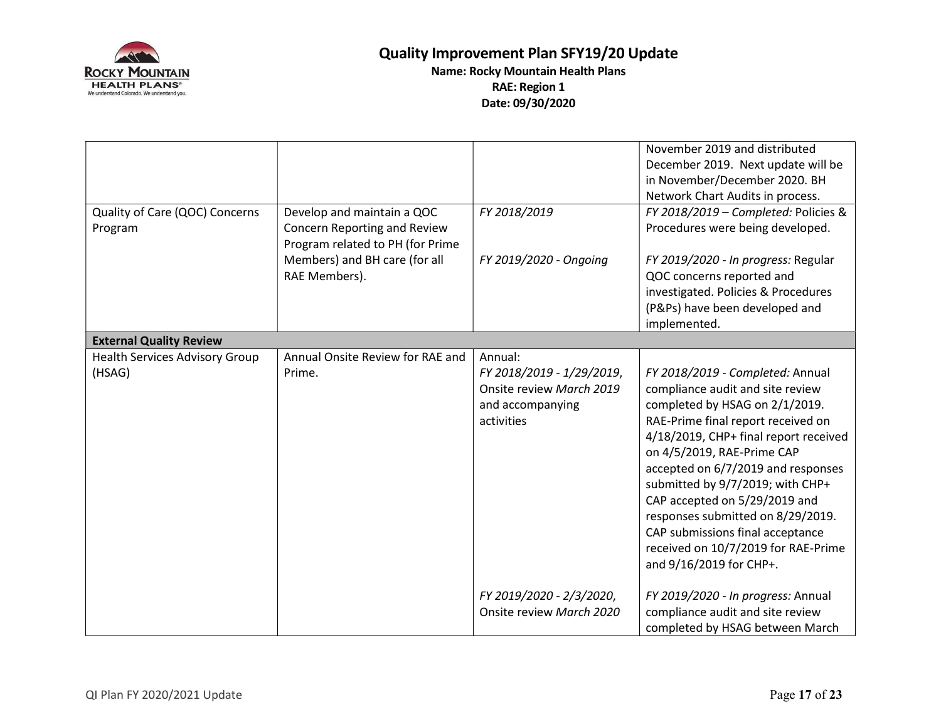

| Quality of Care (QOC) Concerns<br>Program       | Develop and maintain a QOC<br>Concern Reporting and Review<br>Program related to PH (for Prime<br>Members) and BH care (for all<br>RAE Members). | FY 2018/2019<br>FY 2019/2020 - Ongoing                                                             | November 2019 and distributed<br>December 2019. Next update will be<br>in November/December 2020. BH<br>Network Chart Audits in process.<br>FY 2018/2019 - Completed: Policies &<br>Procedures were being developed.<br>FY 2019/2020 - In progress: Regular<br>QOC concerns reported and<br>investigated. Policies & Procedures<br>(P&Ps) have been developed and<br>implemented.                                                                                         |
|-------------------------------------------------|--------------------------------------------------------------------------------------------------------------------------------------------------|----------------------------------------------------------------------------------------------------|---------------------------------------------------------------------------------------------------------------------------------------------------------------------------------------------------------------------------------------------------------------------------------------------------------------------------------------------------------------------------------------------------------------------------------------------------------------------------|
| <b>External Quality Review</b>                  |                                                                                                                                                  |                                                                                                    |                                                                                                                                                                                                                                                                                                                                                                                                                                                                           |
| <b>Health Services Advisory Group</b><br>(HSAG) | Annual Onsite Review for RAE and<br>Prime.                                                                                                       | Annual:<br>FY 2018/2019 - 1/29/2019,<br>Onsite review March 2019<br>and accompanying<br>activities | FY 2018/2019 - Completed: Annual<br>compliance audit and site review<br>completed by HSAG on 2/1/2019.<br>RAE-Prime final report received on<br>4/18/2019, CHP+ final report received<br>on 4/5/2019, RAE-Prime CAP<br>accepted on 6/7/2019 and responses<br>submitted by 9/7/2019; with CHP+<br>CAP accepted on 5/29/2019 and<br>responses submitted on 8/29/2019.<br>CAP submissions final acceptance<br>received on 10/7/2019 for RAE-Prime<br>and 9/16/2019 for CHP+. |
|                                                 |                                                                                                                                                  | FY 2019/2020 - 2/3/2020,<br>Onsite review March 2020                                               | FY 2019/2020 - In progress: Annual<br>compliance audit and site review<br>completed by HSAG between March                                                                                                                                                                                                                                                                                                                                                                 |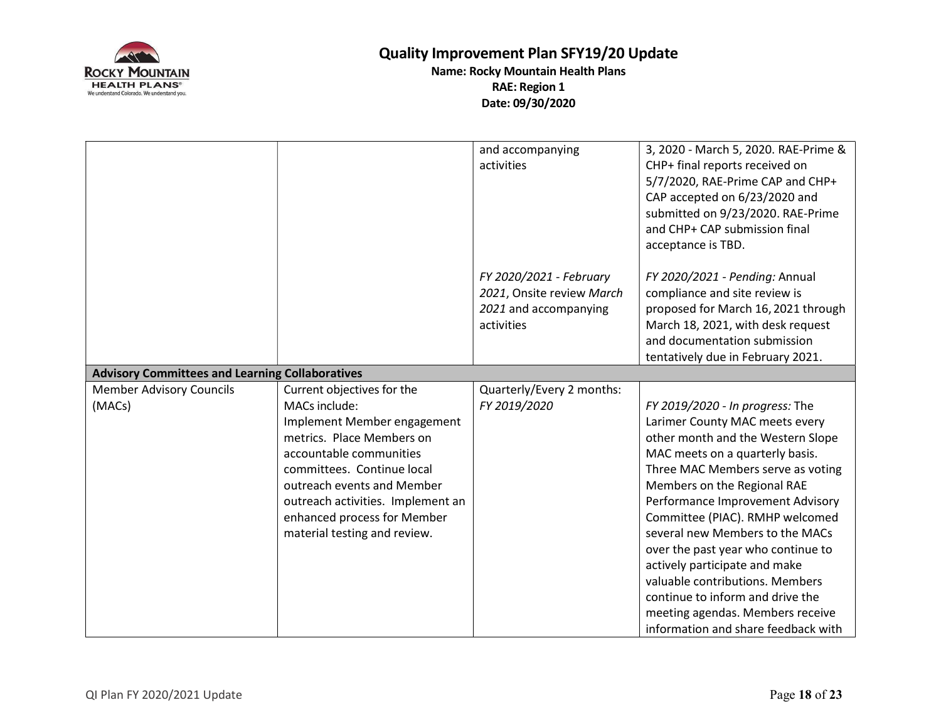

|                                                        |                                                                                                                                                                                                                                                                                                    | and accompanying<br>activities                                                              | 3, 2020 - March 5, 2020. RAE-Prime &<br>CHP+ final reports received on<br>5/7/2020, RAE-Prime CAP and CHP+<br>CAP accepted on 6/23/2020 and<br>submitted on 9/23/2020. RAE-Prime<br>and CHP+ CAP submission final<br>acceptance is TBD.                                                                                                                                                                                                                                                                                                          |
|--------------------------------------------------------|----------------------------------------------------------------------------------------------------------------------------------------------------------------------------------------------------------------------------------------------------------------------------------------------------|---------------------------------------------------------------------------------------------|--------------------------------------------------------------------------------------------------------------------------------------------------------------------------------------------------------------------------------------------------------------------------------------------------------------------------------------------------------------------------------------------------------------------------------------------------------------------------------------------------------------------------------------------------|
|                                                        |                                                                                                                                                                                                                                                                                                    | FY 2020/2021 - February<br>2021, Onsite review March<br>2021 and accompanying<br>activities | FY 2020/2021 - Pending: Annual<br>compliance and site review is<br>proposed for March 16, 2021 through<br>March 18, 2021, with desk request<br>and documentation submission<br>tentatively due in February 2021.                                                                                                                                                                                                                                                                                                                                 |
| <b>Advisory Committees and Learning Collaboratives</b> |                                                                                                                                                                                                                                                                                                    |                                                                                             |                                                                                                                                                                                                                                                                                                                                                                                                                                                                                                                                                  |
| <b>Member Advisory Councils</b><br>(MACs)              | Current objectives for the<br>MACs include:<br>Implement Member engagement<br>metrics. Place Members on<br>accountable communities<br>committees. Continue local<br>outreach events and Member<br>outreach activities. Implement an<br>enhanced process for Member<br>material testing and review. | Quarterly/Every 2 months:<br>FY 2019/2020                                                   | FY 2019/2020 - In progress: The<br>Larimer County MAC meets every<br>other month and the Western Slope<br>MAC meets on a quarterly basis.<br>Three MAC Members serve as voting<br>Members on the Regional RAE<br>Performance Improvement Advisory<br>Committee (PIAC). RMHP welcomed<br>several new Members to the MACs<br>over the past year who continue to<br>actively participate and make<br>valuable contributions. Members<br>continue to inform and drive the<br>meeting agendas. Members receive<br>information and share feedback with |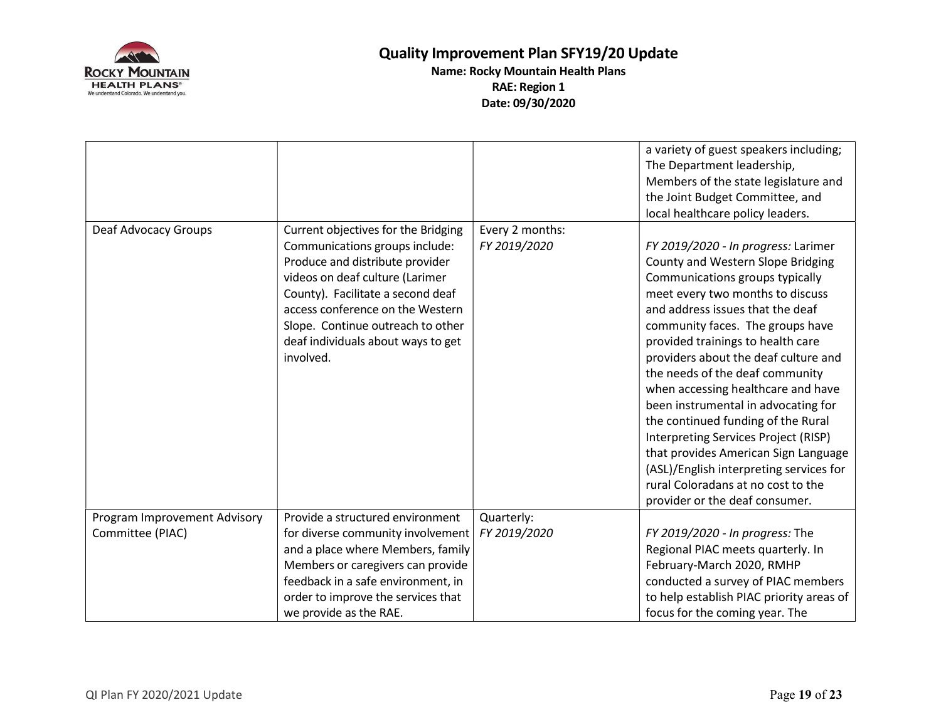

| Deaf Advocacy Groups         |                                                                                                                                                                                                                                                                                                              | Every 2 months: | a variety of guest speakers including;<br>The Department leadership,<br>Members of the state legislature and<br>the Joint Budget Committee, and<br>local healthcare policy leaders.                                                                                                                                                                                                                                                                                                                                                                                                                                                                           |
|------------------------------|--------------------------------------------------------------------------------------------------------------------------------------------------------------------------------------------------------------------------------------------------------------------------------------------------------------|-----------------|---------------------------------------------------------------------------------------------------------------------------------------------------------------------------------------------------------------------------------------------------------------------------------------------------------------------------------------------------------------------------------------------------------------------------------------------------------------------------------------------------------------------------------------------------------------------------------------------------------------------------------------------------------------|
|                              | Current objectives for the Bridging<br>Communications groups include:<br>Produce and distribute provider<br>videos on deaf culture (Larimer<br>County). Facilitate a second deaf<br>access conference on the Western<br>Slope. Continue outreach to other<br>deaf individuals about ways to get<br>involved. | FY 2019/2020    | FY 2019/2020 - In progress: Larimer<br>County and Western Slope Bridging<br>Communications groups typically<br>meet every two months to discuss<br>and address issues that the deaf<br>community faces. The groups have<br>provided trainings to health care<br>providers about the deaf culture and<br>the needs of the deaf community<br>when accessing healthcare and have<br>been instrumental in advocating for<br>the continued funding of the Rural<br>Interpreting Services Project (RISP)<br>that provides American Sign Language<br>(ASL)/English interpreting services for<br>rural Coloradans at no cost to the<br>provider or the deaf consumer. |
| Program Improvement Advisory | Provide a structured environment                                                                                                                                                                                                                                                                             | Quarterly:      |                                                                                                                                                                                                                                                                                                                                                                                                                                                                                                                                                                                                                                                               |
| Committee (PIAC)             | for diverse community involvement                                                                                                                                                                                                                                                                            | FY 2019/2020    | FY 2019/2020 - In progress: The                                                                                                                                                                                                                                                                                                                                                                                                                                                                                                                                                                                                                               |
|                              | and a place where Members, family                                                                                                                                                                                                                                                                            |                 | Regional PIAC meets quarterly. In                                                                                                                                                                                                                                                                                                                                                                                                                                                                                                                                                                                                                             |
|                              | Members or caregivers can provide                                                                                                                                                                                                                                                                            |                 | February-March 2020, RMHP                                                                                                                                                                                                                                                                                                                                                                                                                                                                                                                                                                                                                                     |
|                              | feedback in a safe environment, in                                                                                                                                                                                                                                                                           |                 | conducted a survey of PIAC members                                                                                                                                                                                                                                                                                                                                                                                                                                                                                                                                                                                                                            |
|                              | order to improve the services that                                                                                                                                                                                                                                                                           |                 | to help establish PIAC priority areas of                                                                                                                                                                                                                                                                                                                                                                                                                                                                                                                                                                                                                      |
|                              | we provide as the RAE.                                                                                                                                                                                                                                                                                       |                 | focus for the coming year. The                                                                                                                                                                                                                                                                                                                                                                                                                                                                                                                                                                                                                                |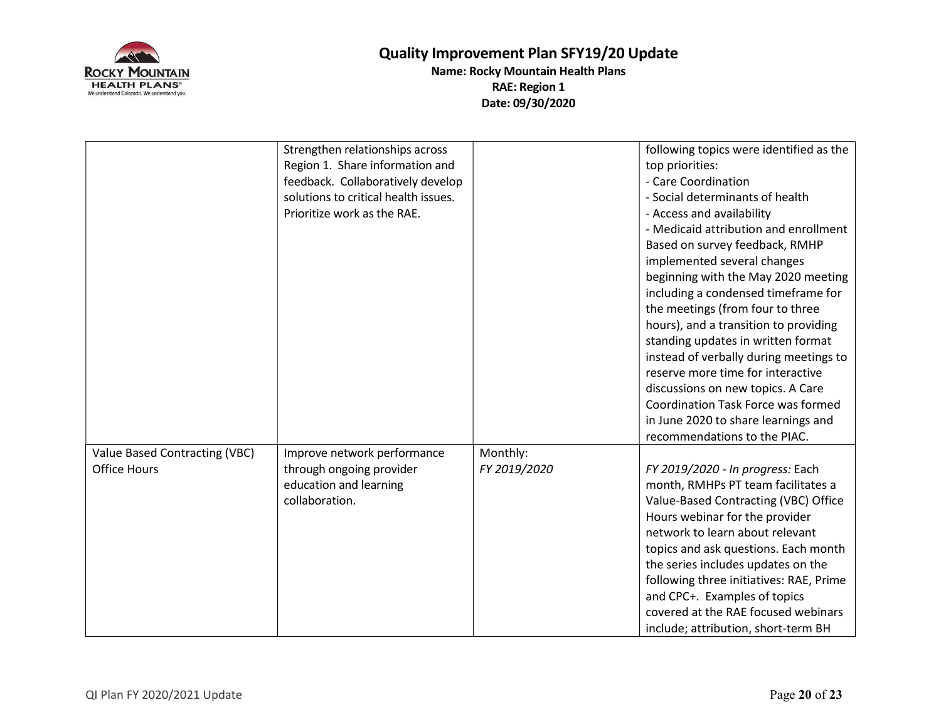

|                                                      | Strengthen relationships across<br>Region 1. Share information and<br>feedback. Collaboratively develop<br>solutions to critical health issues.<br>Prioritize work as the RAE. |                          | following topics were identified as the<br>top priorities:<br>- Care Coordination<br>- Social determinants of health<br>- Access and availability                                                                                                                                                                                                                                                                                                                                                                                               |
|------------------------------------------------------|--------------------------------------------------------------------------------------------------------------------------------------------------------------------------------|--------------------------|-------------------------------------------------------------------------------------------------------------------------------------------------------------------------------------------------------------------------------------------------------------------------------------------------------------------------------------------------------------------------------------------------------------------------------------------------------------------------------------------------------------------------------------------------|
|                                                      |                                                                                                                                                                                |                          | - Medicaid attribution and enrollment<br>Based on survey feedback, RMHP<br>implemented several changes<br>beginning with the May 2020 meeting<br>including a condensed timeframe for<br>the meetings (from four to three<br>hours), and a transition to providing<br>standing updates in written format<br>instead of verbally during meetings to<br>reserve more time for interactive<br>discussions on new topics. A Care<br><b>Coordination Task Force was formed</b><br>in June 2020 to share learnings and<br>recommendations to the PIAC. |
| Value Based Contracting (VBC)<br><b>Office Hours</b> | Improve network performance<br>through ongoing provider<br>education and learning<br>collaboration.                                                                            | Monthly:<br>FY 2019/2020 | FY 2019/2020 - In progress: Each<br>month, RMHPs PT team facilitates a<br>Value-Based Contracting (VBC) Office<br>Hours webinar for the provider<br>network to learn about relevant<br>topics and ask questions. Each month<br>the series includes updates on the<br>following three initiatives: RAE, Prime<br>and CPC+. Examples of topics<br>covered at the RAE focused webinars<br>include; attribution, short-term BH                                                                                                                      |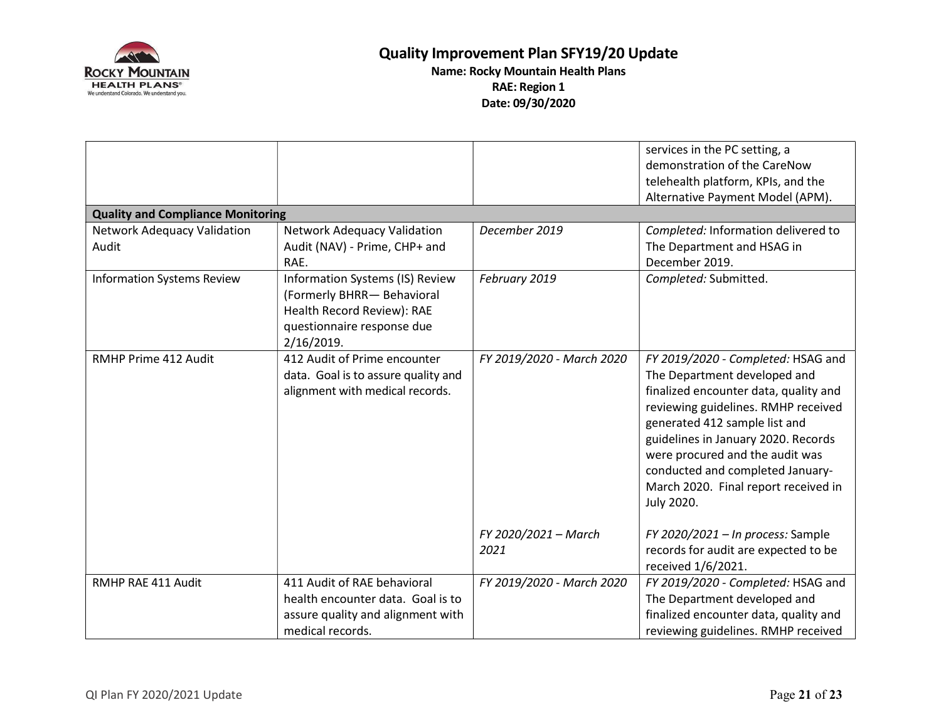

| <b>Quality and Compliance Monitoring</b>    |                                                                                                                                         |                              | services in the PC setting, a<br>demonstration of the CareNow<br>telehealth platform, KPIs, and the<br>Alternative Payment Model (APM).                                                                                                                                                                                                                 |
|---------------------------------------------|-----------------------------------------------------------------------------------------------------------------------------------------|------------------------------|---------------------------------------------------------------------------------------------------------------------------------------------------------------------------------------------------------------------------------------------------------------------------------------------------------------------------------------------------------|
| <b>Network Adequacy Validation</b><br>Audit | <b>Network Adequacy Validation</b><br>Audit (NAV) - Prime, CHP+ and<br>RAE.                                                             | December 2019                | Completed: Information delivered to<br>The Department and HSAG in<br>December 2019.                                                                                                                                                                                                                                                                     |
| <b>Information Systems Review</b>           | Information Systems (IS) Review<br>(Formerly BHRR- Behavioral<br>Health Record Review): RAE<br>questionnaire response due<br>2/16/2019. | February 2019                | Completed: Submitted.                                                                                                                                                                                                                                                                                                                                   |
| RMHP Prime 412 Audit                        | 412 Audit of Prime encounter<br>data. Goal is to assure quality and<br>alignment with medical records.                                  | FY 2019/2020 - March 2020    | FY 2019/2020 - Completed: HSAG and<br>The Department developed and<br>finalized encounter data, quality and<br>reviewing guidelines. RMHP received<br>generated 412 sample list and<br>guidelines in January 2020. Records<br>were procured and the audit was<br>conducted and completed January-<br>March 2020. Final report received in<br>July 2020. |
|                                             |                                                                                                                                         | FY 2020/2021 - March<br>2021 | FY 2020/2021 - In process: Sample<br>records for audit are expected to be<br>received 1/6/2021.                                                                                                                                                                                                                                                         |
| RMHP RAE 411 Audit                          | 411 Audit of RAE behavioral<br>health encounter data. Goal is to<br>assure quality and alignment with<br>medical records.               | FY 2019/2020 - March 2020    | FY 2019/2020 - Completed: HSAG and<br>The Department developed and<br>finalized encounter data, quality and<br>reviewing guidelines. RMHP received                                                                                                                                                                                                      |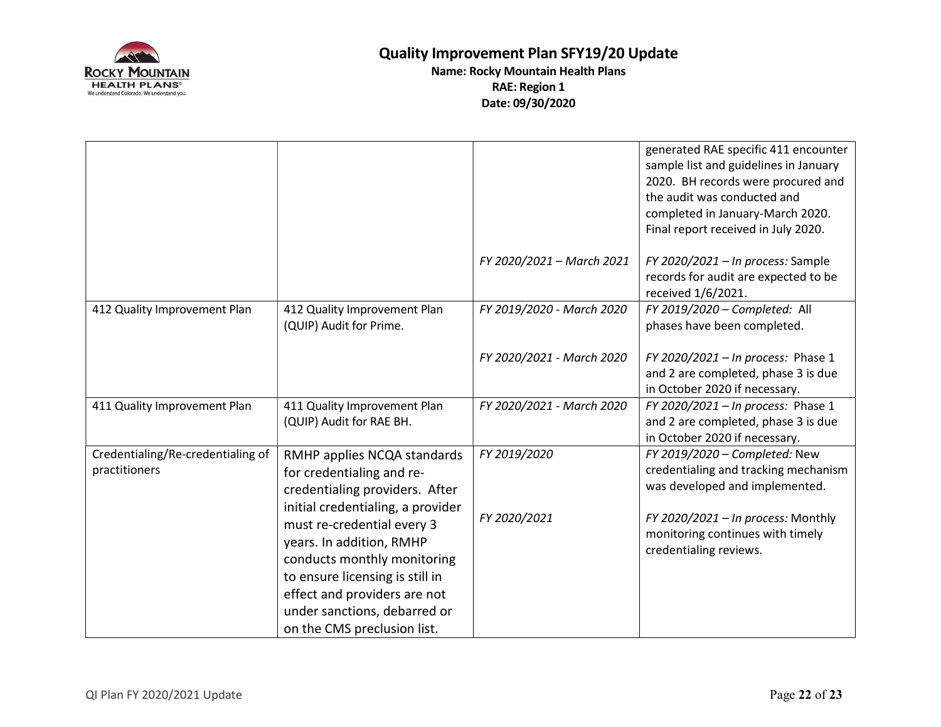

|                                                    |                                                                                                                                                                                                                                                                                                                                                            | FY 2020/2021 - March 2021    | generated RAE specific 411 encounter<br>sample list and guidelines in January<br>2020. BH records were procured and<br>the audit was conducted and<br>completed in January-March 2020.<br>Final report received in July 2020.<br>FY 2020/2021 - In process: Sample<br>records for audit are expected to be |
|----------------------------------------------------|------------------------------------------------------------------------------------------------------------------------------------------------------------------------------------------------------------------------------------------------------------------------------------------------------------------------------------------------------------|------------------------------|------------------------------------------------------------------------------------------------------------------------------------------------------------------------------------------------------------------------------------------------------------------------------------------------------------|
|                                                    |                                                                                                                                                                                                                                                                                                                                                            |                              | received 1/6/2021.                                                                                                                                                                                                                                                                                         |
| 412 Quality Improvement Plan                       | 412 Quality Improvement Plan<br>(QUIP) Audit for Prime.                                                                                                                                                                                                                                                                                                    | FY 2019/2020 - March 2020    | FY 2019/2020 - Completed: All<br>phases have been completed.                                                                                                                                                                                                                                               |
|                                                    |                                                                                                                                                                                                                                                                                                                                                            | FY 2020/2021 - March 2020    | FY 2020/2021 - In process: Phase 1<br>and 2 are completed, phase 3 is due<br>in October 2020 if necessary.                                                                                                                                                                                                 |
| 411 Quality Improvement Plan                       | 411 Quality Improvement Plan<br>(QUIP) Audit for RAE BH.                                                                                                                                                                                                                                                                                                   | FY 2020/2021 - March 2020    | FY 2020/2021 - In process: Phase 1<br>and 2 are completed, phase 3 is due<br>in October 2020 if necessary.                                                                                                                                                                                                 |
| Credentialing/Re-credentialing of<br>practitioners | RMHP applies NCQA standards<br>for credentialing and re-<br>credentialing providers. After<br>initial credentialing, a provider<br>must re-credential every 3<br>years. In addition, RMHP<br>conducts monthly monitoring<br>to ensure licensing is still in<br>effect and providers are not<br>under sanctions, debarred or<br>on the CMS preclusion list. | FY 2019/2020<br>FY 2020/2021 | FY 2019/2020 - Completed: New<br>credentialing and tracking mechanism<br>was developed and implemented.<br>FY 2020/2021 - In process: Monthly<br>monitoring continues with timely<br>credentialing reviews.                                                                                                |